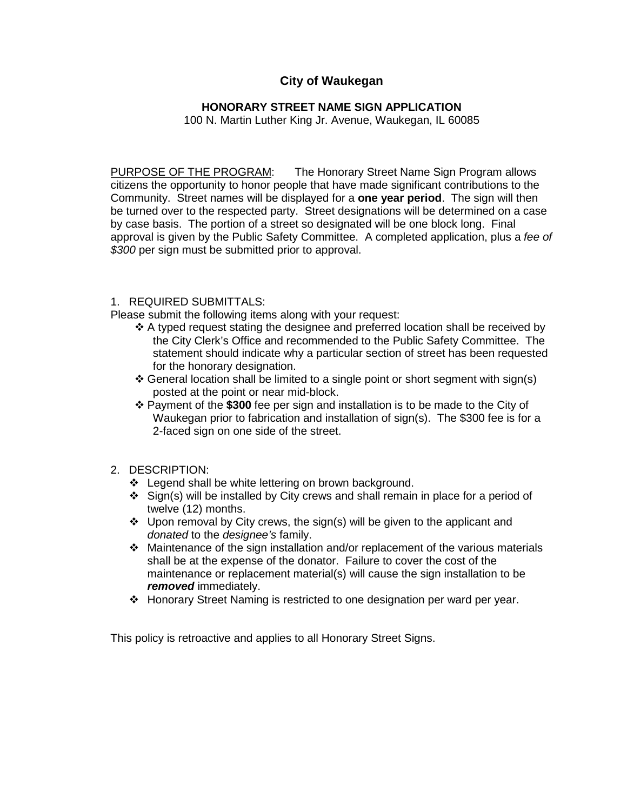# **City of Waukegan**

# **HONORARY STREET NAME SIGN APPLICATION**

100 N. Martin Luther King Jr. Avenue, Waukegan, IL 60085

PURPOSE OF THE PROGRAM: The Honorary Street Name Sign Program allows citizens the opportunity to honor people that have made significant contributions to the Community. Street names will be displayed for a **one year period**. The sign will then be turned over to the respected party. Street designations will be determined on a case by case basis. The portion of a street so designated will be one block long. Final approval is given by the Public Safety Committee. A completed application, plus a *fee of \$300* per sign must be submitted prior to approval.

#### 1. REQUIRED SUBMITTALS:

Please submit the following items along with your request:

- $\triangle$  A typed request stating the designee and preferred location shall be received by the City Clerk's Office and recommended to the Public Safety Committee. The statement should indicate why a particular section of street has been requested for the honorary designation.
- $\div$  General location shall be limited to a single point or short segment with sign(s) posted at the point or near mid-block.
- Payment of the **\$300** fee per sign and installation is to be made to the City of Waukegan prior to fabrication and installation of sign(s). The \$300 fee is for a 2-faced sign on one side of the street.
- 2. DESCRIPTION:
	- ❖ Legend shall be white lettering on brown background.
	- $\div$  Sign(s) will be installed by City crews and shall remain in place for a period of twelve (12) months.
	- Upon removal by City crews, the sign(s) will be given to the applicant and *donated* to the *designee's* family.
	- Maintenance of the sign installation and/or replacement of the various materials shall be at the expense of the donator. Failure to cover the cost of the maintenance or replacement material(s) will cause the sign installation to be *removed* immediately.
	- Honorary Street Naming is restricted to one designation per ward per year.

This policy is retroactive and applies to all Honorary Street Signs.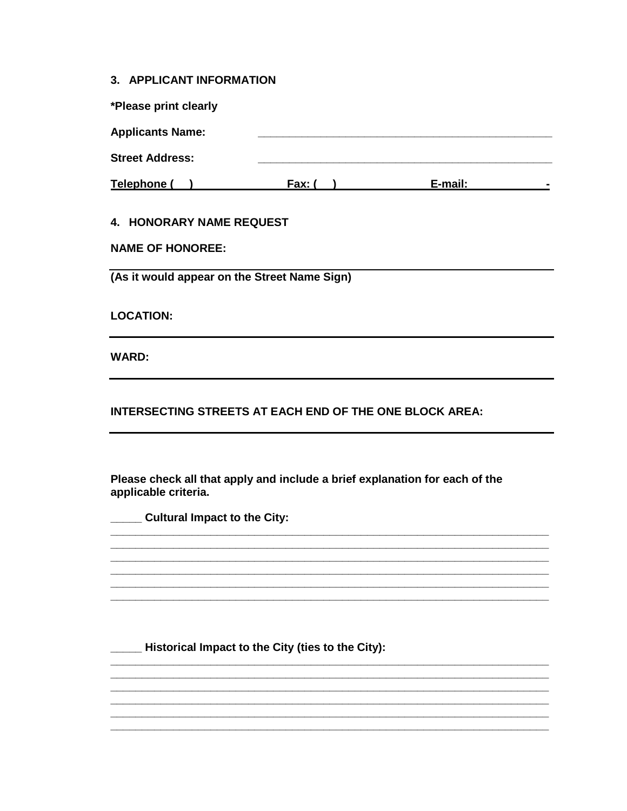#### 3. APPLICANT INFORMATION

| *Please print clearly   |        |         |  |
|-------------------------|--------|---------|--|
| <b>Applicants Name:</b> |        |         |  |
| <b>Street Address:</b>  |        |         |  |
| Telephone (             | Fax: ( | E-mail: |  |
|                         |        |         |  |

### 4. HONORARY NAME REQUEST

| <b>NAME OF HONOREE:</b> |  |
|-------------------------|--|
|-------------------------|--|

(As it would appear on the Street Name Sign)

**LOCATION:** 

**WARD:** 

**INTERSECTING STREETS AT EACH END OF THE ONE BLOCK AREA:** 

Please check all that apply and include a brief explanation for each of the applicable criteria.

**Cultural Impact to the City:** 

\_\_\_\_ Historical Impact to the City (ties to the City):